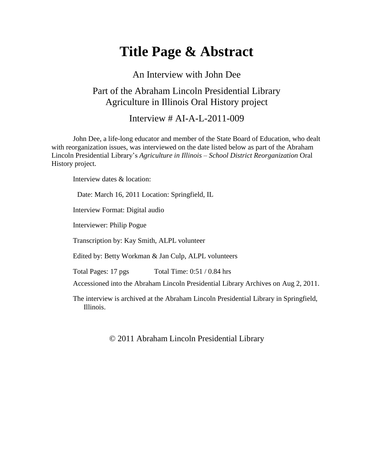## **Title Page & Abstract**

## An Interview with John Dee Part of the Abraham Lincoln Presidential Library Agriculture in Illinois Oral History project

Interview  $\#$  AI-A-L-2011-009

John Dee, a life-long educator and member of the State Board of Education, who dealt with reorganization issues, was interviewed on the date listed below as part of the Abraham Lincoln Presidential Library's *Agriculture in Illinois – School District Reorganization* Oral History project.

Interview dates & location:

Date: March 16, 2011 Location: Springfield, IL

Interview Format: Digital audio

Interviewer: Philip Pogue

Transcription by: Kay Smith, ALPL volunteer

Edited by: Betty Workman & Jan Culp, ALPL volunteers

Total Pages: 17 pgs Total Time: 0:51 / 0.84 hrs

Accessioned into the Abraham Lincoln Presidential Library Archives on Aug 2, 2011.

The interview is archived at the Abraham Lincoln Presidential Library in Springfield, Illinois.

© 2011 Abraham Lincoln Presidential Library